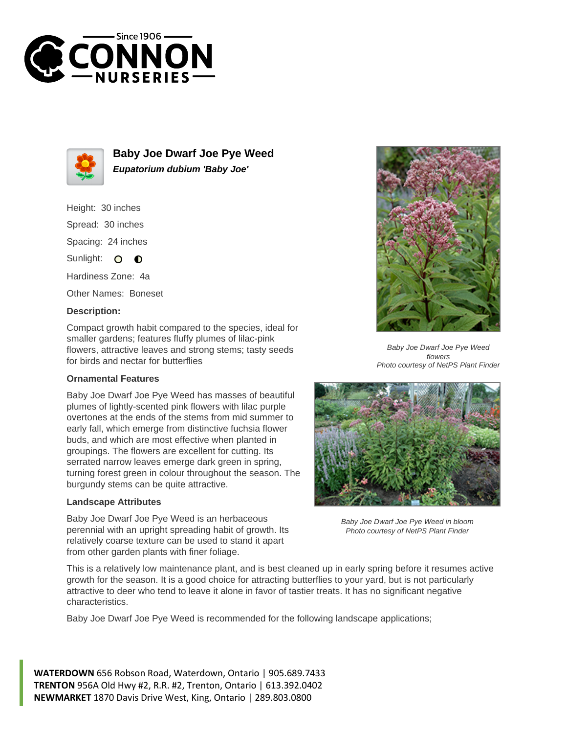



**Baby Joe Dwarf Joe Pye Weed Eupatorium dubium 'Baby Joe'**

# Height: 30 inches Spread: 30 inches Spacing: 24 inches Sunlight: O **O** Hardiness Zone: 4a

Other Names: Boneset

### **Description:**

Compact growth habit compared to the species, ideal for smaller gardens; features fluffy plumes of lilac-pink flowers, attractive leaves and strong stems; tasty seeds for birds and nectar for butterflies

#### **Ornamental Features**

Baby Joe Dwarf Joe Pye Weed has masses of beautiful plumes of lightly-scented pink flowers with lilac purple overtones at the ends of the stems from mid summer to early fall, which emerge from distinctive fuchsia flower buds, and which are most effective when planted in groupings. The flowers are excellent for cutting. Its serrated narrow leaves emerge dark green in spring, turning forest green in colour throughout the season. The burgundy stems can be quite attractive.

#### **Landscape Attributes**

Baby Joe Dwarf Joe Pye Weed is an herbaceous perennial with an upright spreading habit of growth. Its relatively coarse texture can be used to stand it apart from other garden plants with finer foliage.



Baby Joe Dwarf Joe Pye Weed flowers Photo courtesy of NetPS Plant Finder



Baby Joe Dwarf Joe Pye Weed in bloom Photo courtesy of NetPS Plant Finder

This is a relatively low maintenance plant, and is best cleaned up in early spring before it resumes active growth for the season. It is a good choice for attracting butterflies to your yard, but is not particularly attractive to deer who tend to leave it alone in favor of tastier treats. It has no significant negative characteristics.

Baby Joe Dwarf Joe Pye Weed is recommended for the following landscape applications;

**WATERDOWN** 656 Robson Road, Waterdown, Ontario | 905.689.7433 **TRENTON** 956A Old Hwy #2, R.R. #2, Trenton, Ontario | 613.392.0402 **NEWMARKET** 1870 Davis Drive West, King, Ontario | 289.803.0800